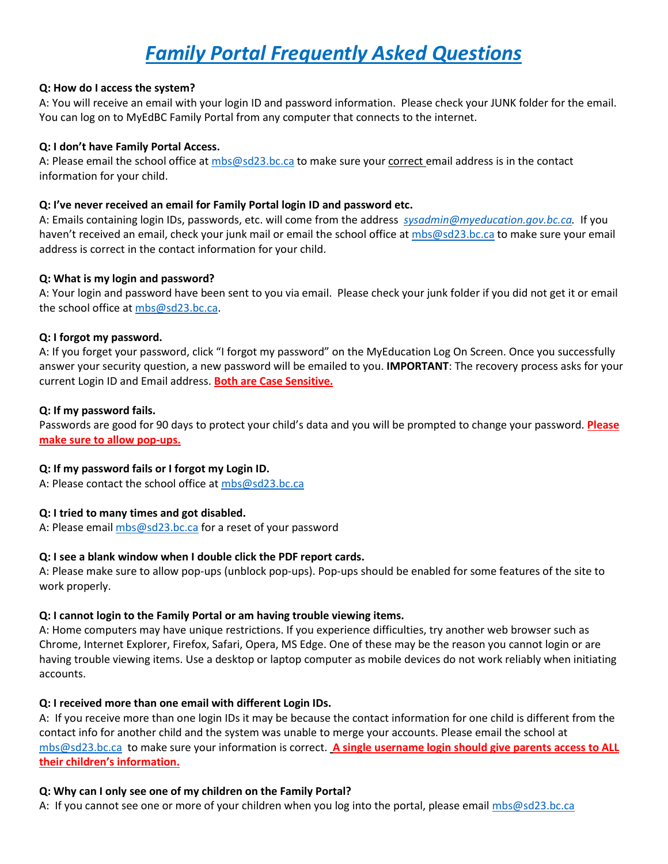# *Family Portal Frequently Asked Questions*

# **Q: How do I access the system?**

A: You will receive an email with your login ID and password information. Please check your JUNK folder for the email. You can log on to MyEdBC Family Portal from any computer that connects to the internet.

# **Q: I don't have Family Portal Access.**

A: Please email the school office at [mbs@sd23.bc.ca](mailto:mbs@sd23.bc.ca) to make sure your correct email address is in the contact information for your child.

#### **Q: I've never received an email for Family Portal login ID and password etc.**

A: Emails containing login IDs, passwords, etc. will come from the address *[sysadmin@myeducation.gov.bc.ca.](mailto:sysadmin@myeducation.gov.bc.ca)* If you haven't received an email, check your junk mail or email the school office a[t mbs@sd23.bc.ca](mailto:mbs@sd23.bc.ca) to make sure your email address is correct in the contact information for your child.

#### **Q: What is my login and password?**

A: Your login and password have been sent to you via email. Please check your junk folder if you did not get it or email the school office at [mbs@sd23.bc.ca.](mailto:mbs@sd23.bc.ca)

#### **Q: I forgot my password.**

A: If you forget your password, click "I forgot my password" on the MyEducation Log On Screen. Once you successfully answer your security question, a new password will be emailed to you. **IMPORTANT**: The recovery process asks for your current Login ID and Email address. **Both are Case Sensitive.**

#### **Q: If my password fails.**

Passwords are good for 90 days to protect your child's data and you will be prompted to change your password. **Please make sure to allow pop-ups.**

#### **Q: If my password fails or I forgot my Login ID.**

A: Please contact the school office at [mbs@sd23.bc.ca](mailto:mbs@sd23.bc.ca)

# **Q: I tried to many times and got disabled.**

A: Please email [mbs@sd23.bc.ca](mailto:mbs@sd23.bc.ca) for a reset of your password

# **Q: I see a blank window when I double click the PDF report cards.**

A: Please make sure to allow pop-ups (unblock pop-ups). Pop-ups should be enabled for some features of the site to work properly.

# **Q: I cannot login to the Family Portal or am having trouble viewing items.**

A: Home computers may have unique restrictions. If you experience difficulties, try another web browser such as Chrome, Internet Explorer, Firefox, Safari, Opera, MS Edge. One of these may be the reason you cannot login or are having trouble viewing items. Use a desktop or laptop computer as mobile devices do not work reliably when initiating accounts.

# **Q: I received more than one email with different Login IDs.**

A: If you receive more than one login IDs it may be because the contact information for one child is different from the contact info for another child and the system was unable to merge your accounts. Please email the school at [mbs@sd23.bc.ca](mailto:mbs@sd23.bc.ca) to make sure your information is correct. **A single username login should give parents access to ALL their children's information.**

# **Q: Why can I only see one of my children on the Family Portal?**

A: If you cannot see one or more of your children when you log into the portal, please email [mbs@sd23.bc.ca](mailto:mbs@sd23.bc.ca)